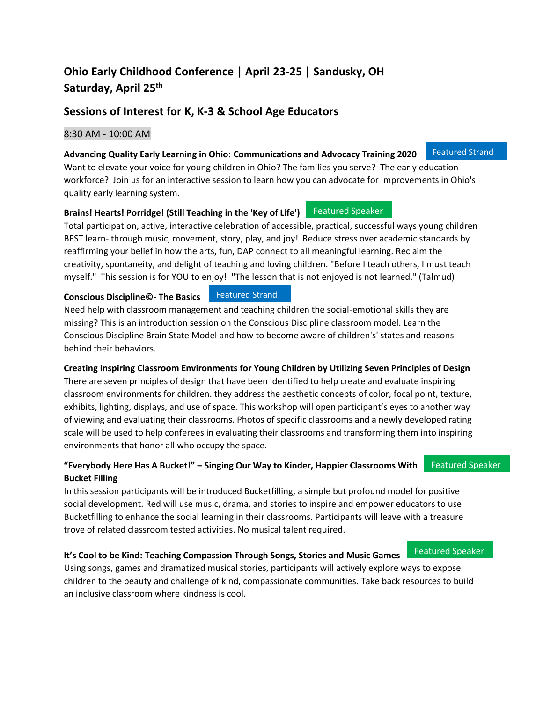# **Ohio Early Childhood Conference | April 23-25 | Sandusky, OH Saturday, April 25 th**

# **Sessions of Interest for K, K-3 & School Age Educators**

### 8:30 AM - 10:00 AM

### **Advancing Quality Early Learning in Ohio: Communications and Advocacy Training 2020**

Want to elevate your voice for young children in Ohio? The families you serve? The early education workforce? Join us for an interactive session to learn how you can advocate for improvements in Ohio's quality early learning system.

### **Brains! Hearts! Porridge! (Still Teaching in the 'Key of Life')**

Total participation, active, interactive celebration of accessible, practical, successful ways young children BEST learn- through music, movement, story, play, and joy! Reduce stress over academic standards by reaffirming your belief in how the arts, fun, DAP connect to all meaningful learning. Reclaim the creativity, spontaneity, and delight of teaching and loving children. "Before I teach others, I must teach myself." This session is for YOU to enjoy! "The lesson that is not enjoyed is not learned." (Talmud)

#### **Conscious Discipline©- The Basics** Featured Strand

Need help with classroom management and teaching children the social-emotional skills they are missing? This is an introduction session on the Conscious Discipline classroom model. Learn the Conscious Discipline Brain State Model and how to become aware of children's' states and reasons behind their behaviors.

## **Creating Inspiring Classroom Environments for Young Children by Utilizing Seven Principles of Design**

There are seven principles of design that have been identified to help create and evaluate inspiring classroom environments for children. they address the aesthetic concepts of color, focal point, texture, exhibits, lighting, displays, and use of space. This workshop will open participant's eyes to another way of viewing and evaluating their classrooms. Photos of specific classrooms and a newly developed rating scale will be used to help conferees in evaluating their classrooms and transforming them into inspiring environments that honor all who occupy the space.

# **"Everybody Here Has A Bucket!" – Singing Our Way to Kinder, Happier Classrooms With Bucket Filling**

In this session participants will be introduced Bucketfilling, a simple but profound model for positive social development. Red will use music, drama, and stories to inspire and empower educators to use Bucketfilling to enhance the social learning in their classrooms. Participants will leave with a treasure trove of related classroom tested activities. No musical talent required.

### **It's Cool to be Kind: Teaching Compassion Through Songs, Stories and Music Games** Featured Speaker

Using songs, games and dramatized musical stories, participants will actively explore ways to expose children to the beauty and challenge of kind, compassionate communities. Take back resources to build an inclusive classroom where kindness is cool.

Featured Speaker

Featured Strand

Featured Speaker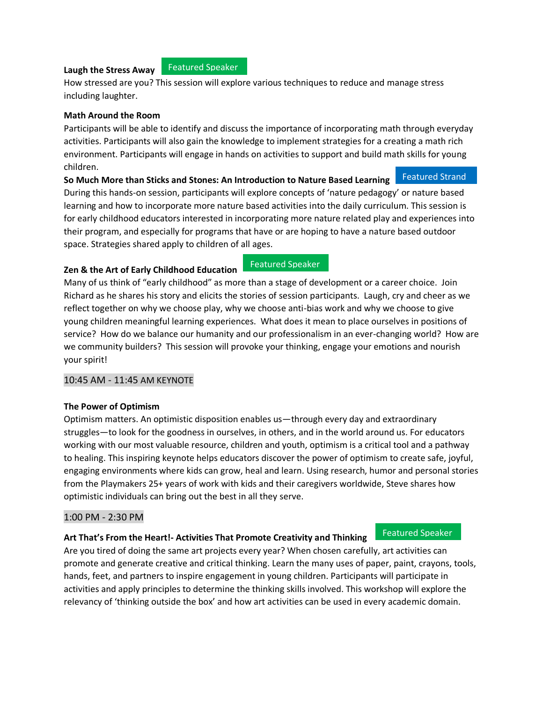### **Laugh the Stress Away**

Featured Speaker

How stressed are you? This session will explore various techniques to reduce and manage stress including laughter.

### **Math Around the Room**

Participants will be able to identify and discuss the importance of incorporating math through everyday activities. Participants will also gain the knowledge to implement strategies for a creating a math rich environment. Participants will engage in hands on activities to support and build math skills for young children.

**So Much More than Sticks and Stones: An Introduction to Nature Based Learning** During this hands-on session, participants will explore concepts of 'nature pedagogy' or nature based learning and how to incorporate more nature based activities into the daily curriculum. This session is Featured Strand

for early childhood educators interested in incorporating more nature related play and experiences into their program, and especially for programs that have or are hoping to have a nature based outdoor space. Strategies shared apply to children of all ages.

### **Zen & the Art of Early Childhood Education**

Featured Speaker

Many of us think of "early childhood" as more than a stage of development or a career choice. Join Richard as he shares his story and elicits the stories of session participants. Laugh, cry and cheer as we reflect together on why we choose play, why we choose anti-bias work and why we choose to give young children meaningful learning experiences. What does it mean to place ourselves in positions of service? How do we balance our humanity and our professionalism in an ever-changing world? How are we community builders? This session will provoke your thinking, engage your emotions and nourish your spirit!

### 10:45 AM - 11:45 AM KEYNOTE

### **The Power of Optimism**

Optimism matters. An optimistic disposition enables us—through every day and extraordinary struggles—to look for the goodness in ourselves, in others, and in the world around us. For educators working with our most valuable resource, children and youth, optimism is a critical tool and a pathway to healing. This inspiring keynote helps educators discover the power of optimism to create safe, joyful, engaging environments where kids can grow, heal and learn. Using research, humor and personal stories from the Playmakers 25+ years of work with kids and their caregivers worldwide, Steve shares how optimistic individuals can bring out the best in all they serve.

### 1:00 PM - 2:30 PM

### **Art That's From the Heart!- Activities That Promote Creativity and Thinking**

Featured Speaker

Are you tired of doing the same art projects every year? When chosen carefully, art activities can promote and generate creative and critical thinking. Learn the many uses of paper, paint, crayons, tools, hands, feet, and partners to inspire engagement in young children. Participants will participate in activities and apply principles to determine the thinking skills involved. This workshop will explore the relevancy of 'thinking outside the box' and how art activities can be used in every academic domain.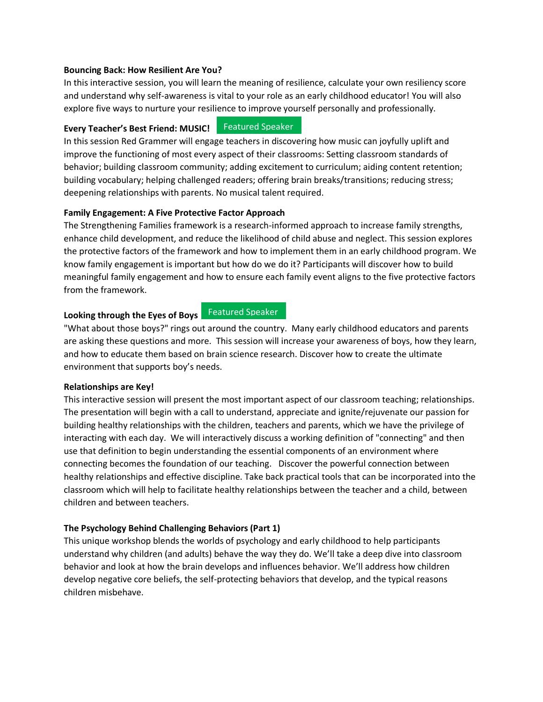### **Bouncing Back: How Resilient Are You?**

In this interactive session, you will learn the meaning of resilience, calculate your own resiliency score and understand why self-awareness is vital to your role as an early childhood educator! You will also explore five ways to nurture your resilience to improve yourself personally and professionally.

### **Every Teacher's Best Friend: MUSIC!**

Featured Speaker

In this session Red Grammer will engage teachers in discovering how music can joyfully uplift and improve the functioning of most every aspect of their classrooms: Setting classroom standards of behavior; building classroom community; adding excitement to curriculum; aiding content retention; building vocabulary; helping challenged readers; offering brain breaks/transitions; reducing stress; deepening relationships with parents. No musical talent required.

### **Family Engagement: A Five Protective Factor Approach**

The Strengthening Families framework is a research-informed approach to increase family strengths, enhance child development, and reduce the likelihood of child abuse and neglect. This session explores the protective factors of the framework and how to implement them in an early childhood program. We know family engagement is important but how do we do it? Participants will discover how to build meaningful family engagement and how to ensure each family event aligns to the five protective factors from the framework.

# **Looking through the Eyes of Boys** Featured Speaker

"What about those boys?" rings out around the country. Many early childhood educators and parents are asking these questions and more. This session will increase your awareness of boys, how they learn, and how to educate them based on brain science research. Discover how to create the ultimate environment that supports boy's needs.

### **Relationships are Key!**

This interactive session will present the most important aspect of our classroom teaching; relationships. The presentation will begin with a call to understand, appreciate and ignite/rejuvenate our passion for building healthy relationships with the children, teachers and parents, which we have the privilege of interacting with each day. We will interactively discuss a working definition of "connecting" and then use that definition to begin understanding the essential components of an environment where connecting becomes the foundation of our teaching. Discover the powerful connection between healthy relationships and effective discipline. Take back practical tools that can be incorporated into the classroom which will help to facilitate healthy relationships between the teacher and a child, between children and between teachers.

### **The Psychology Behind Challenging Behaviors (Part 1)**

This unique workshop blends the worlds of psychology and early childhood to help participants understand why children (and adults) behave the way they do. We'll take a deep dive into classroom behavior and look at how the brain develops and influences behavior. We'll address how children develop negative core beliefs, the self-protecting behaviors that develop, and the typical reasons children misbehave.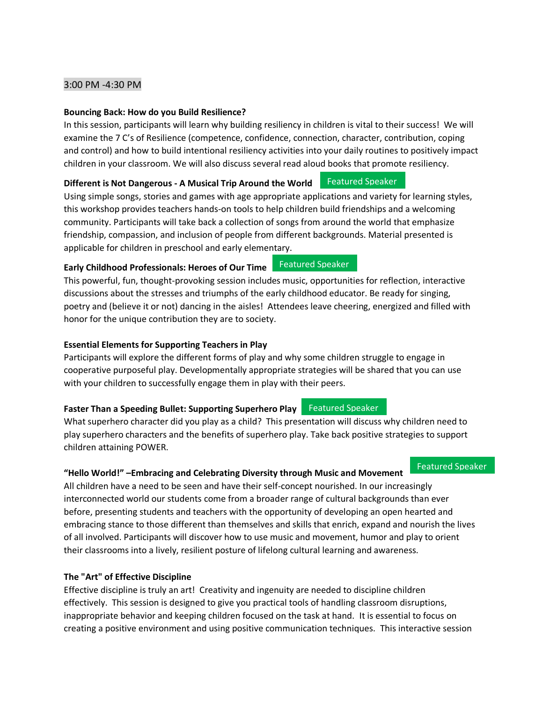### 3:00 PM -4:30 PM

### **Bouncing Back: How do you Build Resilience?**

In this session, participants will learn why building resiliency in children is vital to their success! We will examine the 7 C's of Resilience (competence, confidence, connection, character, contribution, coping and control) and how to build intentional resiliency activities into your daily routines to positively impact children in your classroom. We will also discuss several read aloud books that promote resiliency.

### **Different is Not Dangerous - A Musical Trip Around the World**

Using simple songs, stories and games with age appropriate applications and variety for learning styles, this workshop provides teachers hands-on tools to help children build friendships and a welcoming community. Participants will take back a collection of songs from around the world that emphasize friendship, compassion, and inclusion of people from different backgrounds. Material presented is applicable for children in preschool and early elementary.

#### **Early Childhood Professionals: Heroes of Our Time**  Featured Speaker

This powerful, fun, thought-provoking session includes music, opportunities for reflection, interactive discussions about the stresses and triumphs of the early childhood educator. Be ready for singing, poetry and (believe it or not) dancing in the aisles! Attendees leave cheering, energized and filled with honor for the unique contribution they are to society.

### **Essential Elements for Supporting Teachers in Play**

Participants will explore the different forms of play and why some children struggle to engage in cooperative purposeful play. Developmentally appropriate strategies will be shared that you can use with your children to successfully engage them in play with their peers.

#### **Faster Than a Speeding Bullet: Supporting Superhero Play** Featured Speaker

What superhero character did you play as a child? This presentation will discuss why children need to play superhero characters and the benefits of superhero play. Take back positive strategies to support children attaining POWER.

### **"Hello World!" –Embracing and Celebrating Diversity through Music and Movement**

All children have a need to be seen and have their self-concept nourished. In our increasingly interconnected world our students come from a broader range of cultural backgrounds than ever before, presenting students and teachers with the opportunity of developing an open hearted and embracing stance to those different than themselves and skills that enrich, expand and nourish the lives of all involved. Participants will discover how to use music and movement, humor and play to orient their classrooms into a lively, resilient posture of lifelong cultural learning and awareness.

### **The "Art" of Effective Discipline**

Effective discipline is truly an art! Creativity and ingenuity are needed to discipline children effectively. This session is designed to give you practical tools of handling classroom disruptions, inappropriate behavior and keeping children focused on the task at hand. It is essential to focus on creating a positive environment and using positive communication techniques. This interactive session

### Featured Speaker

Featured Speaker